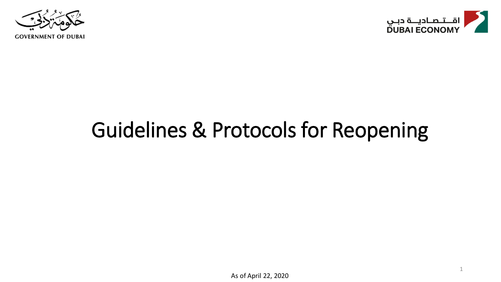



1

## Guidelines & Protocols for Reopening

As of April 22, 2020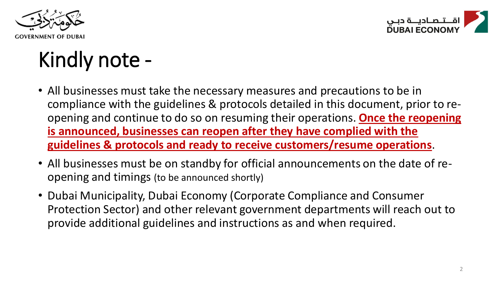



## Kindly note -

- All businesses must take the necessary measures and precautions to be in compliance with the guidelines & protocols detailed in this document, prior to reopening and continue to do so on resuming their operations. **Once the reopening is announced, businesses can reopen after they have complied with the guidelines & protocols and ready to receive customers/resume operations**.
- All businesses must be on standby for official announcements on the date of reopening and timings (to be announced shortly)
- Dubai Municipality, Dubai Economy (Corporate Compliance and Consumer Protection Sector) and other relevant government departments will reach out to provide additional guidelines and instructions as and when required.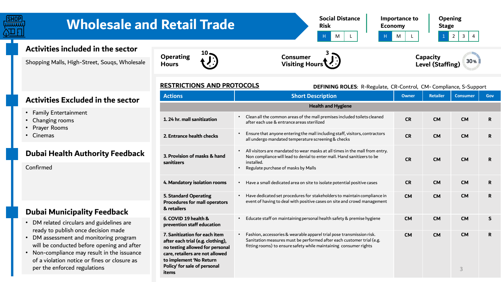

#### **RESTRICTIONS AND PROTOCOLS**

| <b>RESTRICTIONS AND PROTOCOLS</b>                                                                                                                                                                            | DEFINING ROLES: R-Regulate, CR-Control, CM- Compliance, S-Support                                                                                                                                                                |              |                 |                 |     |
|--------------------------------------------------------------------------------------------------------------------------------------------------------------------------------------------------------------|----------------------------------------------------------------------------------------------------------------------------------------------------------------------------------------------------------------------------------|--------------|-----------------|-----------------|-----|
| <b>Actions</b>                                                                                                                                                                                               | <b>Short Description</b>                                                                                                                                                                                                         | <b>Owner</b> | <b>Retailer</b> | <b>Consumer</b> | Gov |
|                                                                                                                                                                                                              | <b>Health and Hygiene</b>                                                                                                                                                                                                        |              |                 |                 |     |
| 1.24 hr. mall sanitization                                                                                                                                                                                   | Clean all the common areas of the mall premises included toilets cleaned<br>after each use & entrance areas sterilized                                                                                                           | <b>CR</b>    | <b>CM</b>       | <b>CM</b>       | R   |
| 2. Entrance health checks                                                                                                                                                                                    | Ensure that anyone entering the mall including staff, visitors, contractors<br>all undergo mandated temperature screening & checks                                                                                               | <b>CR</b>    | <b>CM</b>       | <b>CM</b>       | R.  |
| 3. Provision of masks & hand<br>sanitizers                                                                                                                                                                   | All visitors are mandated to wear masks at all times in the mall from entry.<br>$\bullet$<br>Non compliance will lead to denial to enter mall. Hand sanitizers to be<br>installed.<br>Regulate purchase of masks by Malls        | <b>CR</b>    | <b>CM</b>       | <b>CM</b>       | R.  |
| 4. Mandatory isolation rooms                                                                                                                                                                                 | Have a small dedicated area on site to isolate potential positive cases<br>$\bullet$                                                                                                                                             | <b>CR</b>    | <b>CM</b>       | <b>CM</b>       | R.  |
| <b>5. Standard Operating</b><br><b>Procedures for mall operators</b><br>& retailers                                                                                                                          | Have dedicated set procedures for stakeholders to maintain compliance in<br>event of having to deal with positive cases on site and crowd management                                                                             | <b>CM</b>    | <b>CM</b>       | <b>CM</b>       | R   |
| 6. COVID 19 health &<br>prevention staff education                                                                                                                                                           | Educate staff on maintaining personal health safety & premise hygiene                                                                                                                                                            | <b>CM</b>    | <b>CM</b>       | <b>CM</b>       | S   |
| 7. Sanitization for each item<br>after each trial (e.g. clothing),<br>no testing allowed for personal<br>care, retailers are not allowed<br>to implement 'No Return<br>Policy' for sale of personal<br>items | Fashion, accessories & wearable apparel trial pose transmission risk.<br>$\bullet$<br>Sanitation measures must be performed after each customer trial (e.g.<br>fitting rooms) to ensure safety while maintaining consumer rights | <b>CM</b>    | <b>CM</b>       | <b>CM</b><br>3  | R.  |

#### **Activities Excluded in the sector**

- Family Entertainment
- Changing rooms
- Prayer Rooms
- Cinemas

#### **Dubai Health Authority Feedback**

Confirmed

#### **Dubai Municipality Feedback**

- DM related circulars and guidelines are ready to publish once decision made
- DM assessment and monitoring program will be conducted before opening and after
- Non-compliance may result in the issuance of a violation notice or fines or closure as per the enforced regulations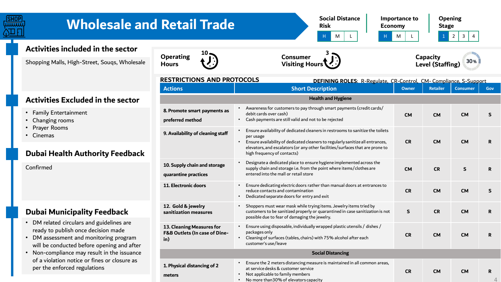

## **Wholesale and Retail Trade**

**Social Distance Risk** 



**Opening Stage**

4

### **Activities included in the sector**

Shopping Malls, High-Street, Souqs, Wholesale





| Capacity                | 30 <sub>1</sub> |
|-------------------------|-----------------|
| <b>Level (Staffing)</b> |                 |

#### **RESTRICTIONS AND RECTOLCIE**

| <b>RESTRICTIONS AND PROTOCOLS</b>                                 | <b>DEFINING ROLES: R-Regulate, CR-Control, CM- Compliance, S-Support</b>                                                                                                                                                                                                                                   |              |                 |                 |              |
|-------------------------------------------------------------------|------------------------------------------------------------------------------------------------------------------------------------------------------------------------------------------------------------------------------------------------------------------------------------------------------------|--------------|-----------------|-----------------|--------------|
| <b>Actions</b>                                                    | <b>Short Description</b>                                                                                                                                                                                                                                                                                   | <b>Owner</b> | <b>Retailer</b> | <b>Consumer</b> | Gov          |
|                                                                   | <b>Health and Hygiene</b>                                                                                                                                                                                                                                                                                  |              |                 |                 |              |
| 8. Promote smart payments as<br>preferred method                  | Awareness for customers to pay through smart payments (credit cards/<br>$\bullet$<br>debit cards over cash)<br>Cash payments are still valid and not to be rejected<br>$\bullet$                                                                                                                           | <b>CM</b>    | <b>CM</b>       | <b>CM</b>       | $\mathsf{s}$ |
| 9. Availability of cleaning staff                                 | Ensure availability of dedicated cleaners in restrooms to sanitize the toilets<br>per usage<br>Ensure availability of dedicated cleaners to regularly sanitize all entrances,<br>$\bullet$<br>elevators, and escalators (or any other facilities/surfaces that are prone to<br>high frequency of contacts) | <b>CR</b>    | <b>CM</b>       | <b>CM</b>       | R            |
| 10. Supply chain and storage<br>quarantine practices              | Designate a dedicated place to ensure hygiene implemented across the<br>supply chain and storage i.e. from the point where items/clothes are<br>entered into the mall or retail store                                                                                                                      | <b>CM</b>    | <b>CR</b>       | $\mathsf{s}$    | $\mathbf R$  |
| 11. Electronic doors                                              | Ensure dedicating electric doors rather than manual doors at entrances to<br>$\bullet$<br>reduce contacts and contamination<br>Dedicated separate doors for entry and exit<br>$\bullet$                                                                                                                    | <b>CR</b>    | <b>CM</b>       | <b>CM</b>       | $\mathsf{s}$ |
| 12. Gold & jewelry<br>sanitization measures                       | Shoppers must wear mask while trying items. Jewelry items tried by<br>customers to be sanitized properly or quarantined in case sanitization is not<br>possible due to fear of damaging the jewelry.                                                                                                       | S            | <b>CR</b>       | <b>CM</b>       | $\mathbf R$  |
| 13. Cleaning Measures for<br>F&B Outlets (In case of Dine-<br>in) | Ensure using disposable, individually wrapped plastic utensils / dishes /<br>$\bullet$<br>packages only<br>Cleaning of surfaces (tables, chairs) with 75% alcohol after each<br>$\bullet$<br>customer's use/leave                                                                                          | <b>CR</b>    | <b>CM</b>       | <b>CM</b>       | R            |
|                                                                   | <b>Social Distancing</b>                                                                                                                                                                                                                                                                                   |              |                 |                 |              |
| 1. Physical distancing of 2<br>meters                             | Ensure the 2 meters distancing measure is maintained in all common areas,<br>$\bullet$<br>at service desks & customer service<br>Not applicable to family members<br>$\bullet$                                                                                                                             | <b>CR</b>    | <b>CM</b>       | <b>CM</b>       | R.           |

• No more than30% of elevators capacity

### **Activities Excluded in the sector**

- Family Entertainment
- Changing rooms
- Prayer Rooms
- Cinemas

#### **Dubai Health Authority Feedback**

Confirmed

#### **Dubai Municipality Feedback**

- DM related circulars and guidelines are ready to publish once decision made
- DM assessment and monitoring program will be conducted before opening and after
- Non-compliance may result in the issuance of a violation notice or fines or closure as per the enforced regulations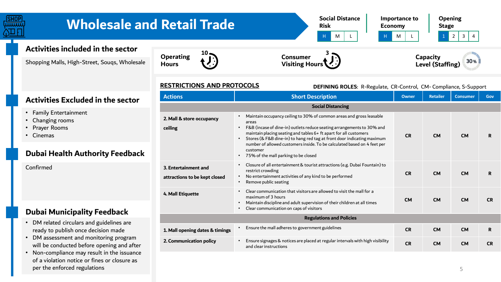

**RESTRICTIONS AND PROTOCOLS** 

**Hours** 

| <b>RESTRICTIONS AND PROTOCOLS</b>                     | DEFINING ROLES: R-Regulate, CR-Control, CM- Compliance, S-Support                                                                                                                                                                                                                                                                                                                                                                                                 |                 |                 |           |             |  |  |  |  |
|-------------------------------------------------------|-------------------------------------------------------------------------------------------------------------------------------------------------------------------------------------------------------------------------------------------------------------------------------------------------------------------------------------------------------------------------------------------------------------------------------------------------------------------|-----------------|-----------------|-----------|-------------|--|--|--|--|
| <b>Actions</b>                                        | <b>Owner</b>                                                                                                                                                                                                                                                                                                                                                                                                                                                      | <b>Retailer</b> | <b>Consumer</b> | Gov       |             |  |  |  |  |
|                                                       | <b>Social Distancing</b>                                                                                                                                                                                                                                                                                                                                                                                                                                          |                 |                 |           |             |  |  |  |  |
| 2. Mall & store occupancy<br>ceiling                  | Maintain occupancy ceiling to 30% of common areas and gross leasable<br>areas<br>F&B (incase of dine-in) outlets reduce seating arrangements to 30% and<br>maintain placing seating and tables 6+ ft apart for all customers<br>Stores (& F&B dine-in) to hang red tag at front door indicating maximum<br>$\bullet$<br>number of allowed customers inside. To be calculated based on 4 feet per<br>customer<br>75% of the mall parking to be closed<br>$\bullet$ | <b>CR</b>       | <b>CM</b>       | <b>CM</b> | R           |  |  |  |  |
| 3. Entertainment and<br>attractions to be kept closed | Closure of all entertainment & tourist attractions (e.g. Dubai Fountain) to<br>restrict crowding<br>No entertainment activities of any kind to be performed<br>Remove public seating                                                                                                                                                                                                                                                                              | <b>CR</b>       | <b>CM</b>       | <b>CM</b> | R           |  |  |  |  |
| 4. Mall Etiquette                                     | Clear communication that visitors are allowed to visit the mall for a<br>maximum of 3 hours<br>Maintain discipline and adult supervision of their children at all times<br>Clear communication on caps of visitors                                                                                                                                                                                                                                                | <b>CM</b>       | <b>CM</b>       | <b>CM</b> | <b>CR</b>   |  |  |  |  |
|                                                       | <b>Regulations and Policies</b>                                                                                                                                                                                                                                                                                                                                                                                                                                   |                 |                 |           |             |  |  |  |  |
| 1. Mall opening dates & timings                       | Ensure the mall adheres to government guidelines                                                                                                                                                                                                                                                                                                                                                                                                                  | <b>CR</b>       | <b>CM</b>       | <b>CM</b> | $\mathbf R$ |  |  |  |  |
| 2. Communication policy                               | Ensure signages & notices are placed at regular intervals with high visibility<br>and clear instructions                                                                                                                                                                                                                                                                                                                                                          | <b>CR</b>       | <b>CM</b>       | <b>CM</b> | <b>CR</b>   |  |  |  |  |

#### **Activities Excluded in the sector**

- Family Entertainment
- Changing rooms
- Prayer Rooms
- Cinemas

#### **Dubai Health Authority Feedback**

Confirmed

#### **Dubai Municipality Feedback**

- DM related circulars and guidelines are ready to publish once decision made
- DM assessment and monitoring program will be conducted before opening and after
- Non-compliance may result in the issuance of a violation notice or fines or closure as per the enforced regulations

5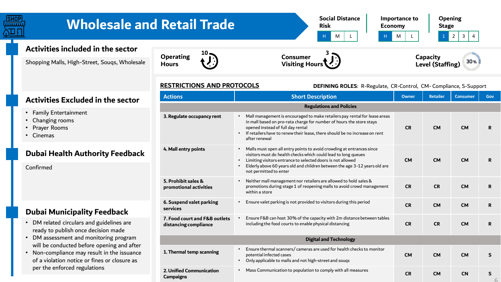

#### **RESTRICTIONS AND PROTOCOLS**

**Hours** 

### **DEFINING ROLES**: R-Regulate, CR-Control, CM- Compliance, S-Support

**Level (Staffing)**

|    | <b>Actions</b><br><b>Short Description</b>             |                                                                                                                                                                                                                                                                                                                                                       | Owner     | <b>Retailer</b> | <b>Consumer</b> | Gov |
|----|--------------------------------------------------------|-------------------------------------------------------------------------------------------------------------------------------------------------------------------------------------------------------------------------------------------------------------------------------------------------------------------------------------------------------|-----------|-----------------|-----------------|-----|
|    |                                                        | <b>Regulations and Policies</b>                                                                                                                                                                                                                                                                                                                       |           |                 |                 |     |
|    | 3. Regulate occupancy rent                             | Mall management is encouraged to make retailers pay rental for lease areas<br>$\bullet$<br>in mall based on pro-rata charge for number of hours the store stays<br>opened instead of full day rental<br>If retailers have to renew their lease, there should be no increase on rent<br>$\bullet$<br>after renewal                                     | <b>CR</b> | <b>CM</b>       | <b>CM</b>       | R   |
| :k | 4. Mall entry points                                   | Malls must open all entry points to avoid crowding at entrances since<br>$\bullet$<br>visitors must do health checks which could lead to long queues<br>Limiting visitors entrance to selected doors is not allowed<br>$\bullet$<br>Elderly above 60 years old and children between the age 3-12 years old are<br>$\bullet$<br>not permitted to enter | <b>CM</b> | <b>CM</b>       | <b>CM</b>       | R   |
|    | 5. Prohibit sales &<br>promotional activities          | Neither mall management nor retailers are allowed to hold sales &<br>$\bullet$<br>promotions during stage 1 of reopening malls to avoid crowd management<br>within a store                                                                                                                                                                            | <b>CR</b> | <b>CR</b>       | <b>CM</b>       | R   |
|    | 6. Suspend valet parking<br>services                   | Ensure valet parking is not provided to visitors during this period<br>$\bullet$                                                                                                                                                                                                                                                                      | <b>CR</b> | <b>CM</b>       | <b>CM</b>       | R   |
|    | 7. Food court and F&B outlets<br>distancing compliance | Ensure F&B can host 30% of the capacity with 2m distance between tables<br>$\bullet$<br>including the food courts to enable physical distancing                                                                                                                                                                                                       | <b>CR</b> | <b>CR</b>       | <b>CM</b>       | R   |
|    |                                                        | <b>Digital and Technology</b>                                                                                                                                                                                                                                                                                                                         |           |                 |                 |     |
|    | 1. Thermal temp scanning                               | Ensure thermal scanners/ cameras are used for health checks to monitor<br>$\bullet$<br>potential infected cases<br>Only applicable to malls and not high-street and souqs<br>$\bullet$                                                                                                                                                                | <b>CM</b> | <b>CM</b>       | <b>CM</b>       | S   |
|    | <b>2. Unified Communication</b><br><b>Campaigns</b>    | Mass Communication to population to comply with all measures<br>$\bullet$                                                                                                                                                                                                                                                                             | <b>CR</b> | <b>CM</b>       | <b>CN</b>       | S   |

**Visiting Hours**

#### **Activities Excluded in the sector**

- Family Entertainment
- Changing rooms
- Prayer Rooms
- Cinemas

#### **Dubai Health Authority Feedback**

#### Confirmed

#### **Dubai Municipality Feedback**

- DM related circulars and guidelines are ready to publish once decision made
- DM assessment and monitoring program will be conducted before opening and after
- Non-compliance may result in the issuance of a violation notice or fines or closure as per the enforced regulations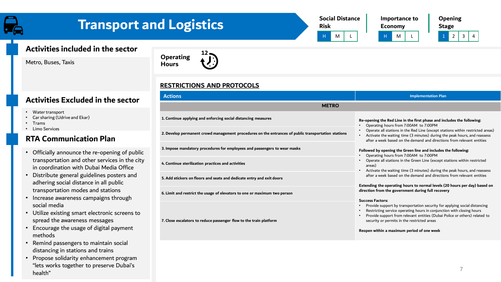## **Transport and Logistics**





**Opening Stage** H M | L | H | M | L | 1 | 2 | 3 | 4

#### **Activities included in the sector**

Metro, Buses, Taxis



#### *RESTRICTIONS AND PROTOCOLS*

| <b>Actions</b>                                                                                      | <b>Implementation Plan</b>                                                                                                                                                                                                                                                                                 |  |  |
|-----------------------------------------------------------------------------------------------------|------------------------------------------------------------------------------------------------------------------------------------------------------------------------------------------------------------------------------------------------------------------------------------------------------------|--|--|
| <b>METRO</b>                                                                                        |                                                                                                                                                                                                                                                                                                            |  |  |
| 1. Continue applying and enforcing social distancing measures                                       | Re-opening the Red Line in the first phase and includes the following:<br>Operating hours from 7:00AM to 7:00PM                                                                                                                                                                                            |  |  |
| 2. Develop permanent crowd management procedures on the entrances of public transportation stations | Operate all stations in the Red Line (except stations within restricted areas)<br>Activate the waiting time (3 minutes) during the peak hours, and reassess<br>after a week based on the demand and directions from relevant entities                                                                      |  |  |
| 3. Impose mandatory procedures for employees and passengers to wear masks                           | Followed by opening the Green line and includes the following:<br>Operating hours from 7:00AM to 7:00PM                                                                                                                                                                                                    |  |  |
| 4. Continue sterilization practices and activities                                                  | Operate all stations in the Green Line (except stations within restricted<br>areas)<br>Activate the waiting time (3 minutes) during the peak hours, and reassess                                                                                                                                           |  |  |
| 5. Add stickers on floors and seats and dedicate entry and exit doors                               | after a week based on the demand and directions from relevant entities                                                                                                                                                                                                                                     |  |  |
| 6. Limit and restrict the usage of elevators to one or maximum two person                           | Extending the operating hours to normal levels (20 hours per day) based on<br>direction from the government during full recovery                                                                                                                                                                           |  |  |
| 7. Close escalators to reduce passenger flow to the train platform                                  | <b>Success Factors:</b><br>Provide support by transportation security for applying social distancing<br>Restricting service operating hours in conjunction with closing hours<br>Provide support from relevant entities (Dubai Police or others) related to<br>security or permits in the restricted areas |  |  |
|                                                                                                     | Reopen within a maximum period of one week                                                                                                                                                                                                                                                                 |  |  |

#### **Activities Excluded in the sector**

- Water transport
- Car sharing (Udrive and Ekar)
- Trams
- Limo Services

#### **RTA Communication Plan**

- Officially announce the re-opening of pub transportation and other services in the ci in coordination with Dubai Media Office
- Distribute general guidelines posters and adhering social distance in all public transportation modes and stations
- Increase awareness campaigns through social media
- Utilize existing smart electronic screens to spread the awareness messages
- Encourage the usage of digital payment methods
- Remind passengers to maintain social distancing in stations and trains
- Propose solidarity enhancement program "lets works together to preserve Dubai's health"

#### 7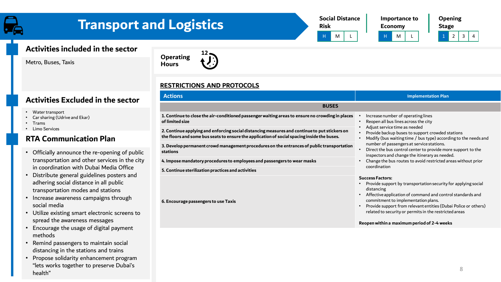### **Transport and Logistics**

| <b>Social Distance</b><br><b>Risk</b> |   |  |  |  | <b>Importance</b><br><b>Economy</b> |  |
|---------------------------------------|---|--|--|--|-------------------------------------|--|
|                                       | м |  |  |  | м                                   |  |

**Importance to Economy**

**Opening Stage**  $2 \mid 3 \mid 4$ 

#### **Activities included in the sector**

Metro, Buses, Taxis



#### *RESTRICTIONS AND PROTOCOLS*

| <b>BUSES</b><br>1. Continue to close the air-conditioned passenger waiting areas to ensure no crowding in places<br>Increase number of operating lines<br>of limited size<br>Reopen all bus lines across the city<br>Adjust service time as needed<br>2. Continue applying and enforcing social distancing measures and continue to put stickers on<br>Provide backup buses to support crowded stations<br>the floors and some bus seats to ensure the application of social spacing inside the buses.<br>number of passengers at service stations.<br>3. Develop permanent crowd management procedures on the entrances of public transportation<br>Direct the bus control center to provide more support to the<br>stations<br>inspectors and change the itinerary as needed.<br>Change the bus routes to avoid restricted areas without prior<br>4. Impose mandatory procedures to employees and passengers to wear masks<br>coordination<br>5. Continue sterilization practices and activities<br><b>Success Factors:</b><br>Provide support by transportation security for applying social<br>distancing<br>Affective application of command and control standards and<br>commitment to implementation plans.<br>6. Encourage passengers to use Taxis<br>related to security or permits in the restricted areas | <b>Actions</b> | <b>Implementation Plan</b>                                      |
|----------------------------------------------------------------------------------------------------------------------------------------------------------------------------------------------------------------------------------------------------------------------------------------------------------------------------------------------------------------------------------------------------------------------------------------------------------------------------------------------------------------------------------------------------------------------------------------------------------------------------------------------------------------------------------------------------------------------------------------------------------------------------------------------------------------------------------------------------------------------------------------------------------------------------------------------------------------------------------------------------------------------------------------------------------------------------------------------------------------------------------------------------------------------------------------------------------------------------------------------------------------------------------------------------------------------|----------------|-----------------------------------------------------------------|
|                                                                                                                                                                                                                                                                                                                                                                                                                                                                                                                                                                                                                                                                                                                                                                                                                                                                                                                                                                                                                                                                                                                                                                                                                                                                                                                      |                |                                                                 |
|                                                                                                                                                                                                                                                                                                                                                                                                                                                                                                                                                                                                                                                                                                                                                                                                                                                                                                                                                                                                                                                                                                                                                                                                                                                                                                                      |                |                                                                 |
|                                                                                                                                                                                                                                                                                                                                                                                                                                                                                                                                                                                                                                                                                                                                                                                                                                                                                                                                                                                                                                                                                                                                                                                                                                                                                                                      |                | Modify (bus waiting time / bus type) according to the needs and |
|                                                                                                                                                                                                                                                                                                                                                                                                                                                                                                                                                                                                                                                                                                                                                                                                                                                                                                                                                                                                                                                                                                                                                                                                                                                                                                                      |                |                                                                 |
|                                                                                                                                                                                                                                                                                                                                                                                                                                                                                                                                                                                                                                                                                                                                                                                                                                                                                                                                                                                                                                                                                                                                                                                                                                                                                                                      |                |                                                                 |
|                                                                                                                                                                                                                                                                                                                                                                                                                                                                                                                                                                                                                                                                                                                                                                                                                                                                                                                                                                                                                                                                                                                                                                                                                                                                                                                      |                |                                                                 |
|                                                                                                                                                                                                                                                                                                                                                                                                                                                                                                                                                                                                                                                                                                                                                                                                                                                                                                                                                                                                                                                                                                                                                                                                                                                                                                                      |                | Provide support from relevant entities (Dubai Police or others) |

### **Activities Excluded in the sector**

- Water transport
- Car sharing (Udrive and Ekar)
- Trams
- Limo Services

#### **RTA Communication Plan**

- Officially announce the re-opening of publi transportation and other services in the cit in coordination with Dubai Media Office
- Distribute general guidelines posters and adhering social distance in all public transportation modes and stations
- Increase awareness campaigns through social media
- Utilize existing smart electronic screens to spread the awareness messages
- Encourage the usage of digital payment methods
- Remind passengers to maintain social distancing in the stations and trains
- Propose solidarity enhancement program "lets works together to preserve Dubai's health"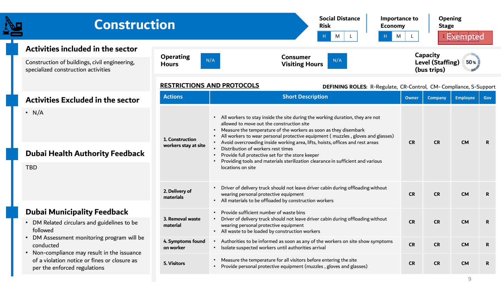| <b>Construction</b>                                                                                                                                        |                                                     | <b>Social Distance</b><br>Importance to<br><b>Risk</b><br><b>Economy</b><br>M<br>M<br>Н.                                                                                                                                                                                                                                                                                                                                                                                                                                                                                   | L.        | Opening<br><b>Stage</b>                            | <sup>1</sup> Exempted |              |
|------------------------------------------------------------------------------------------------------------------------------------------------------------|-----------------------------------------------------|----------------------------------------------------------------------------------------------------------------------------------------------------------------------------------------------------------------------------------------------------------------------------------------------------------------------------------------------------------------------------------------------------------------------------------------------------------------------------------------------------------------------------------------------------------------------------|-----------|----------------------------------------------------|-----------------------|--------------|
| Activities included in the sector<br>Construction of buildings, civil engineering,<br>specialized construction activities                                  | <b>Operating</b><br><b>Hours</b>                    | <b>Consumer</b><br>N/A<br>N/A<br><b>Visiting Hours</b>                                                                                                                                                                                                                                                                                                                                                                                                                                                                                                                     |           | Capacity<br><b>Level (Staffing)</b><br>(bus trips) | 50%                   |              |
|                                                                                                                                                            | <b>RESTRICTIONS AND PROTOCOLS</b><br><b>Actions</b> | DEFINING ROLES: R-Regulate, CR-Control, CM-Compliance, S-Support<br><b>Short Description</b>                                                                                                                                                                                                                                                                                                                                                                                                                                                                               | Owner     | <b>Company</b>                                     | <b>Employee</b>       | Gov          |
| <b>Activities Excluded in the sector</b><br>$\cdot$ N/A<br>1. Construction<br>workers stay at site<br><b>Dubai Health Authority Feedback</b><br><b>TBD</b> |                                                     | • All workers to stay inside the site during the working duration, they are not<br>allowed to move out the construction site<br>• Measure the temperature of the workers as soon as they disembark<br>All workers to wear personal protective equipment (muzzles, gloves and glasses)<br>• Avoid overcrowding inside working area, lifts, hoists, offices and rest areas<br>Distribution of workers rest times<br>Provide full protective set for the store keeper<br>Providing tools and materials sterilization clearance in sufficient and various<br>locations on site | <b>CR</b> | <b>CR</b>                                          | <b>CM</b>             | $\mathbf{R}$ |
|                                                                                                                                                            | 2. Delivery of<br>materials                         | Driver of delivery truck should not leave driver cabin during offloading without<br>wearing personal protective equipment<br>• All materials to be offloaded by construction workers                                                                                                                                                                                                                                                                                                                                                                                       | <b>CR</b> | <b>CR</b>                                          | <b>CM</b>             | $\mathbf{R}$ |
| <b>Dubai Municipality Feedback</b><br>DM Related circulars and guidelines to be<br>followed                                                                | 3. Removal waste<br>material                        | Provide sufficient number of waste bins<br>Driver of delivery truck should not leave driver cabin during offloading without<br>wearing personal protective equipment<br>• All waste to be loaded by construction workers                                                                                                                                                                                                                                                                                                                                                   | <b>CR</b> | <b>CR</b>                                          | <b>CM</b>             | $\mathbf{R}$ |
| DM Assessment monitoring program will be<br>conducted<br>• Non-compliance may result in the issuance                                                       | 4. Symptoms found<br>on worker                      | Authorities to be informed as soon as any of the workers on site show symptoms<br>• Isolate suspected workers until authorities arrival                                                                                                                                                                                                                                                                                                                                                                                                                                    | <b>CR</b> | <b>CR</b>                                          | <b>CM</b>             | $\mathbf R$  |
| of a violation notice or fines or closure as<br>per the enforced regulations                                                                               | <b>5. Visitors</b>                                  | • Measure the temperature for all visitors before entering the site<br>Provide personal protective equipment (muzzles, gloves and glasses)                                                                                                                                                                                                                                                                                                                                                                                                                                 | <b>CR</b> | <b>CR</b>                                          | <b>CM</b>             | $\mathbf R$  |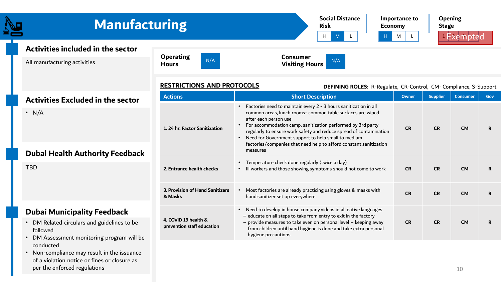| <b>Manufacturing</b>                                                                                                                    |                                                     | <b>Social Distance</b><br><b>Risk</b><br><b>Economy</b><br>H                                                                                                                                                                                                                                                                                                                                                                              | Importance to<br>M | <b>Opening</b><br><b>Stage</b> | <sup>1</sup> Exempted |             |
|-----------------------------------------------------------------------------------------------------------------------------------------|-----------------------------------------------------|-------------------------------------------------------------------------------------------------------------------------------------------------------------------------------------------------------------------------------------------------------------------------------------------------------------------------------------------------------------------------------------------------------------------------------------------|--------------------|--------------------------------|-----------------------|-------------|
| Activities included in the sector<br>All manufacturing activities                                                                       | <b>Operating</b><br>N/A<br><b>Hours</b>             | <b>Consumer</b><br>N/A<br><b>Visiting Hours</b>                                                                                                                                                                                                                                                                                                                                                                                           |                    |                                |                       |             |
|                                                                                                                                         | <b>RESTRICTIONS AND PROTOCOLS</b><br><b>Actions</b> | DEFINING ROLES: R-Regulate, CR-Control, CM-Compliance, S-Support<br><b>Short Description</b>                                                                                                                                                                                                                                                                                                                                              | Owner              | <b>Supplier</b>                | <b>Consumer</b>       | Gov         |
| <b>Activities Excluded in the sector</b><br>$\cdot$ N/A<br><b>Dubai Health Authority Feedback</b>                                       | 1.24 hr. Factor Sanitization                        | • Factories need to maintain every 2 - 3 hours sanitization in all<br>common areas, lunch rooms- common table surfaces are wiped<br>after each person use<br>For accommodation camp, sanitization performed by 3rd party<br>regularly to ensure work safety and reduce spread of contamination<br>• Need for Government support to help small to medium<br>factories/companies that need help to afford constant sanitization<br>measures | <b>CR</b>          | <b>CR</b>                      | <b>CM</b>             | R.          |
| <b>TBD</b>                                                                                                                              | 2. Entrance health checks                           | Temperature check done regularly (twice a day)<br>• Ill workers and those showing symptoms should not come to work                                                                                                                                                                                                                                                                                                                        | <b>CR</b>          | <b>CR</b>                      | <b>CM</b>             | R           |
|                                                                                                                                         | 3. Provision of Hand Sanitizers<br>& Masks          | Most factories are already practicing using gloves & masks with<br>hand sanitizer set up everywhere                                                                                                                                                                                                                                                                                                                                       | <b>CR</b>          | <b>CR</b>                      | <b>CM</b>             | $\mathbf R$ |
| <b>Dubai Municipality Feedback</b><br>DM Related circulars and guidelines to be<br>followed<br>DM Assessment monitoring program will be | 4. COVID 19 health &<br>prevention staff education  | Need to develop in house company videos in all native languages<br>- educate on all steps to take from entry to exit in the factory<br>- provide measures to take even on personal level - keeping away<br>from children until hand hygiene is done and take extra personal<br>hygiene precautions                                                                                                                                        | <b>CR</b>          | <b>CR</b>                      | <b>CM</b>             | R           |
| conducted<br>Non-compliance may result in the issuance<br>of a violation notice or fines or closure as                                  |                                                     |                                                                                                                                                                                                                                                                                                                                                                                                                                           |                    |                                |                       |             |

per the enforced regulations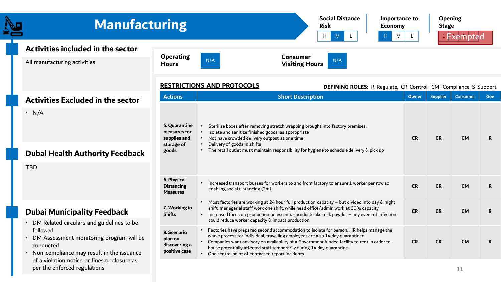| <b>Manufacturing</b>                                                                                               |                                                                      | <b>Social Distance</b><br>Importance to<br><b>Risk</b><br><b>Economy</b><br>H<br>$\mathsf{L}$<br>M<br>M                                                                                                                                                                                                                                                                                                   |           | <b>Opening</b><br><b>Stage</b> | <sup>1</sup> Exempted |     |
|--------------------------------------------------------------------------------------------------------------------|----------------------------------------------------------------------|-----------------------------------------------------------------------------------------------------------------------------------------------------------------------------------------------------------------------------------------------------------------------------------------------------------------------------------------------------------------------------------------------------------|-----------|--------------------------------|-----------------------|-----|
| Activities included in the sector<br>All manufacturing activities                                                  | <b>Operating</b><br><b>Hours</b>                                     | <b>Consumer</b><br>N/A<br>N/A<br><b>Visiting Hours</b>                                                                                                                                                                                                                                                                                                                                                    |           |                                |                       |     |
| <b>Activities Excluded in the sector</b>                                                                           | <b>Actions</b>                                                       | <b>RESTRICTIONS AND PROTOCOLS</b><br>DEFINING ROLES: R-Regulate, CR-Control, CM-Compliance, S-Support<br><b>Short Description</b>                                                                                                                                                                                                                                                                         | Owner     | <b>Supplier</b>                | <b>Consumer</b>       | Gov |
| $\cdot$ N/A<br><b>Dubai Health Authority Feedback</b><br><b>TBD</b>                                                | 5. Quarantine<br>measures for<br>supplies and<br>storage of<br>goods | Sterilize boxes after removing stretch wrapping brought into factory premises.<br>Isolate and sanitize finished goods, as appropriate<br>• Not have crowded delivery outpost at one time<br>Delivery of goods in shifts<br>• The retail outlet must maintain responsibility for hygiene to schedule delivery & pick up                                                                                    | <b>CR</b> | <b>CR</b>                      | <b>CM</b>             | R.  |
|                                                                                                                    | 6. Physical<br><b>Distancing</b><br><b>Measures</b>                  | • Increased transport busses for workers to and from factory to ensure 1 worker per row so<br>enabling social distancing (2m)                                                                                                                                                                                                                                                                             | <b>CR</b> | <b>CR</b>                      | <b>CM</b>             | R.  |
| <b>Dubai Municipality Feedback</b><br>• DM Related circulars and guidelines to be                                  | 7. Working in<br><b>Shifts</b>                                       | • Most factories are working at 24 hour full production capacity - but divided into day & night<br>shift, managerial staff work one shift, while head office/admin work at 30% capacity<br>• Increased focus on production on essential products like milk powder - any event of infection<br>could reduce worker capacity & impact production                                                            | <b>CR</b> | <b>CR</b>                      | <b>CM</b>             | R   |
| followed<br>• DM Assessment monitoring program will be<br>conducted<br>• Non-compliance may result in the issuance | 8. Scenario<br>plan on<br>discovering a<br>positive case             | Factories have prepared second accommodation to isolate for person, HR helps manage the<br>whole process for individual, travelling employees are also 14 day quarantined<br>• Companies want advisory on availability of a Government funded facility to rent in order to<br>house potentially affected staff temporarily during 14 day quarantine<br>• One central point of contact to report incidents | <b>CR</b> | <b>CR</b>                      | <b>CM</b>             | R.  |
| of a violation notice or fines or closure as<br>per the enforced regulations                                       |                                                                      |                                                                                                                                                                                                                                                                                                                                                                                                           |           |                                | 11                    |     |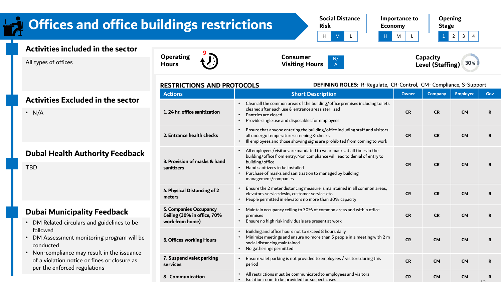#### **Social Distance Importance to Opening Offices and office buildings restrictions Risk Economy Stage** H M L H M L 1 2 3 4 **Activities included in the sector 9 Operating Consumer Capacity**  N/ All types of offices  $30%$ **Hours Visiting Hours**  A **Level (Staffing) RESTRICTIONS AND PROTOCOLS DEFINING ROLES**: R-Regulate, CR-Control, CM- Compliance, S-Support **Actions Short Description Company Company Employee Gov Activities Excluded in the sector** • Clean all the common areas of the building/office premises including toilets cleaned after each use & entrance areas sterilized  $\cdot$  N/A **1. 24 hr. office sanitization CR CR CM R** • Pantries are closed • Provide single use and disposables for employees • Ensure that anyone entering the building/office including staff and visitors **2. Entrance health checks** all undergo temperature screening & checks **CR CR CM R** • Ill employees and those showing signs are prohibited from coming to work • All employees/visitors are mandated to wear masks at all times in the **Dubai Health Authority Feedback** building/office from entry. Non compliance will lead to denial of entry to **3. Provision of masks & hand**  building/office **CR CR CM R** TBD **sanitizers** • Hand sanitizers to be installed • Purchase of masks and sanitization to managed by building management/companies • Ensure the 2 meter distancing measure is maintained in all common areas, **4. Physical Distancing of 2**  elevators, service desks, customer service, etc. **CR CR CM R meters** • People permitted in elevators no more than 30% capacity **5. Companies Occupancy**  • Maintain occupancy ceiling to 30% of common areas and within office **Dubai Municipality Feedback Ceiling (30% in office, 70%**  premises **CR CR CM R work from home)** • Ensure no high risk individuals are present at work • DM Related circulars and guidelines to be followed • Building and office hours not to exceed 8 hours daily Minimize meetings and ensure no more than 5 people in a meeting with 2 m **6. Offices working Hours**

**7. Suspend valet parking** 

**services**

social distancing maintained • No gatherings permitted

**8. Communication** • All restrictions must be communicated to employees and visitors

**CR CM CM R**

 $12$ 

• Ensure valet parking is not provided to employees / visitors during this period **CR CM CM <sup>R</sup>**

• Isolation room to be provided for suspect cases **CR CM CM <sup>R</sup>**

- DM Assessment monitoring program will be conducted
- Non-compliance may result in the issuance of a violation notice or fines or closure as per the enforced regulations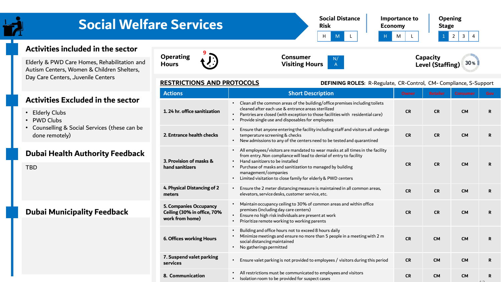#### **Social Distance Risk Importance to Economy Opening Stage** H M L H M L 1 2 3 4 **Social Welfare Services**

**8. Communication** • All restrictions must be communicated to employees and visitors

#### **Activities included in the sector**

Elderly & PWD Care Homes, Rehabilitation and Autism Centers, Women & Children Shelters, Day Care Centers, ـJuvenile Centers

#### **Activities Excluded in the sector**

- Elderly Clubs
- PWD Clubs
- Counselling & Social Services (these can be done remotely)

#### **Dubai Health Authority Feedback**

TBD

#### **Dubai Municipality Feedback**









**DEFINING ROLES**: R-Regulate, CR-Control, CM- Compliance, S-Support

#### **RESTRICTIONS AND PROTOCOLS**

| <b>Actions</b>                                                                  | <b>Short Description</b>                                                                                                                                                                                                                                                                                                                      | <b>Owner</b> | <b>Retailer</b> | <b>Consumer</b> | Gov |
|---------------------------------------------------------------------------------|-----------------------------------------------------------------------------------------------------------------------------------------------------------------------------------------------------------------------------------------------------------------------------------------------------------------------------------------------|--------------|-----------------|-----------------|-----|
| 1.24 hr. office sanitization                                                    | Clean all the common areas of the building/office premises including toilets<br>cleaned after each use & entrance areas sterilized<br>Pantries are closed (with exception to those facilities with residential care)<br>Provide single use and disposables for employees                                                                      | <b>CR</b>    | <b>CR</b>       | <b>CM</b>       | R.  |
| 2. Entrance health checks                                                       | Ensure that anyone entering the facility including staff and visitors all undergo<br>temperature screening & checks<br>New admissions to any of the centers need to be tested and quarantined                                                                                                                                                 | <b>CR</b>    | <b>CR</b>       | <b>CM</b>       | R   |
| 3. Provision of masks &<br>hand sanitizers                                      | All employees/visitors are mandated to wear masks at all times in the facility<br>from entry. Non compliance will lead to denial of entry to facility<br>Hand sanitizers to be installed<br>Purchase of masks and sanitization to managed by building<br>management/companies<br>Limited visitation to close family for elderly & PWD centers | <b>CR</b>    | <b>CR</b>       | <b>CM</b>       | R.  |
| 4. Physical Distancing of 2<br>meters                                           | Ensure the 2 meter distancing measure is maintained in all common areas,<br>elevators, service desks, customer service, etc.                                                                                                                                                                                                                  | <b>CR</b>    | <b>CR</b>       | <b>CM</b>       | R.  |
| <b>5. Companies Occupancy</b><br>Ceiling (30% in office, 70%<br>work from home) | Maintain occupancy ceiling to 30% of common areas and within office<br>premises (including day care centers)<br>Ensure no high risk individuals are present at work<br>Prioritize remote working to working parents                                                                                                                           | <b>CR</b>    | <b>CR</b>       | <b>CM</b>       | R.  |
| <b>6. Offices working Hours</b>                                                 | Building and office hours not to exceed 8 hours daily<br>Minimize meetings and ensure no more than 5 people in a meeting with 2 m<br>social distancing maintained<br>No gatherings permitted                                                                                                                                                  | <b>CR</b>    | <b>CM</b>       | <b>CM</b>       | R.  |
| 7. Suspend valet parking                                                        |                                                                                                                                                                                                                                                                                                                                               |              |                 |                 |     |

A

**services** • Ensure valet parking is not provided to employees / visitors during this period **CR CM CM <sup>R</sup>**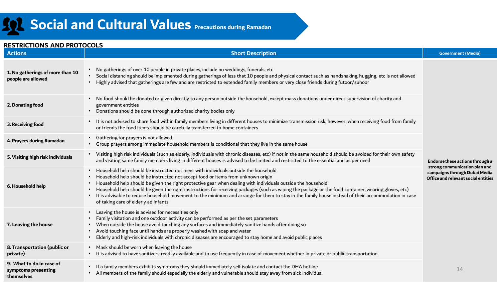#### **RESTRICTIONS AND PROTOCOLS Actions Short Description Government (Media)**

**7. Leaving the house**

**9. What to do in case of symptoms presenting** 

**private)**

**themselves**

| 1. No gatherings of more than 10<br>people are allowed | No gatherings of over 10 people in private places, include no weddings, funerals, etc<br>Social distancing should be implemented during gatherings of less that 10 people and physical contact such as handshaking, hugging, etc is not allowed<br>Highly advised that gatherings are few and are restricted to extended family members or very close friends during futoor/suhoor                                                                                                                                                                                                                                                                                                                              | Endorse these actions through a<br>strong communication plan and<br>campaigns through Dubai Media<br>Office and relevant social entities |
|--------------------------------------------------------|-----------------------------------------------------------------------------------------------------------------------------------------------------------------------------------------------------------------------------------------------------------------------------------------------------------------------------------------------------------------------------------------------------------------------------------------------------------------------------------------------------------------------------------------------------------------------------------------------------------------------------------------------------------------------------------------------------------------|------------------------------------------------------------------------------------------------------------------------------------------|
| 2. Donating food                                       | No food should be donated or given directly to any person outside the household, except mass donations under direct supervision of charity and<br>$\bullet$<br>government entities<br>Donations should be done through authorized charity bodies only                                                                                                                                                                                                                                                                                                                                                                                                                                                           |                                                                                                                                          |
| 3. Receiving food                                      | It is not advised to share food within family members living in different houses to minimize transmission risk, however, when receiving food from family<br>$\bullet$<br>or friends the food items should be carefully transferred to home containers                                                                                                                                                                                                                                                                                                                                                                                                                                                           |                                                                                                                                          |
| 4. Prayers during Ramadan                              | Gathering for prayers is not allowed<br>$\bullet$<br>Group prayers among immediate household members is conditional that they live in the same house<br>$\bullet$                                                                                                                                                                                                                                                                                                                                                                                                                                                                                                                                               |                                                                                                                                          |
| 5. Visiting high risk individuals                      | Visiting high risk individuals (such as elderly, individuals with chronic diseases, etc) if not in the same household should be avoided for their own safety<br>$\bullet$<br>and visiting same family members living in different houses is advised to be limited and restricted to the essential and as per need                                                                                                                                                                                                                                                                                                                                                                                               |                                                                                                                                          |
| 6. Household help                                      | Household help should be instructed not meet with individuals outside the household<br>$\bullet$<br>Household help should be instructed not accept food or items from unknown origin<br>$\bullet$<br>Household help should be given the right protective gear when dealing with individuals outside the household<br>$\bullet$<br>Household help should be given the right instructions for receiving packages (such as wiping the package or the food container, wearing gloves, etc)<br>$\bullet$<br>It is advisable to reduce household movement to the minimum and arrange for them to stay in the family house instead of their accommodation in case<br>$\bullet$<br>of taking care of elderly ad infants |                                                                                                                                          |
|                                                        | Leaving the house is advised for necessities only<br>$\bullet$<br>Family visitation and one outdoor activity can be performed as per the set parameters                                                                                                                                                                                                                                                                                                                                                                                                                                                                                                                                                         |                                                                                                                                          |

- When outside the house avoid touching any surfaces and immediately sanitize hands after doing so • Avoid touching face until hands are properly washed with soap and water
	- Elderly and high-risk individuals with chronic diseases are encouraged to stay home and avoid public places
- **8. Transportation (public or**  • Mask should be worn when leaving the house • It is advised to have sanitizers readily available and to use frequently in case of movement whether in private or public transportation
	- If a family members exhibits symptoms they should immediately self isolate and contact the DHA hotline
		- All members of the family should especially the elderly and vulnerable should stay away from sick individual